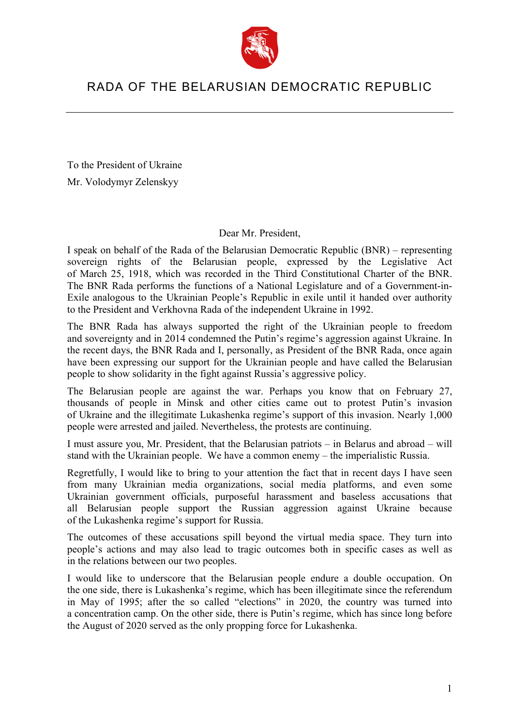

## RADA OF THE BELARUSIAN DEMOCRATIC REPUBLIC

To the President of Ukraine Mr. Volodymyr Zelenskyy

Dear Mr. President,

I speak on behalf of the Rada of the Belarusian Democratic Republic (BNR) – representing sovereign rights of the Belarusian people, expressed by the Legislative Act of March 25, 1918, which was recorded in the Third Constitutional Charter of the BNR. The BNR Rada performs the functions of a National Legislature and of a Government-in-Exile analogous to the Ukrainian People's Republic in exile until it handed over authority to the President and Verkhovna Rada of the independent Ukraine in 1992.

The BNR Rada has always supported the right of the Ukrainian people to freedom and sovereignty and in 2014 condemned the Putin's regime's aggression against Ukraine. In the recent days, the BNR Rada and I, personally, as President of the BNR Rada, once again have been expressing our support for the Ukrainian people and have called the Belarusian people to show solidarity in the fight against Russia's aggressive policy.

The Belarusian people are against the war. Perhaps you know that on February 27, thousands of people in Minsk and other cities came out to protest Putin's invasion of Ukraine and the illegitimate Lukashenka regime's support of this invasion. Nearly 1,000 people were arrested and jailed. Nevertheless, the protests are continuing.

I must assure you, Mr. President, that the Belarusian patriots – in Belarus and abroad – will stand with the Ukrainian people. We have a common enemy – the imperialistic Russia.

Regretfully, I would like to bring to your attention the fact that in recent days I have seen from many Ukrainian media organizations, social media platforms, and even some Ukrainian government officials, purposeful harassment and baseless accusations that all Belarusian people support the Russian aggression against Ukraine because of the Lukashenka regime's support for Russia.

The outcomes of these accusations spill beyond the virtual media space. They turn into people's actions and may also lead to tragic outcomes both in specific cases as well as in the relations between our two peoples.

I would like to underscore that the Belarusian people endure a double occupation. On the one side, there is Lukashenka's regime, which has been illegitimate since the referendum in May of 1995; after the so called "elections" in 2020, the country was turned into a concentration camp. On the other side, there is Putin's regime, which has since long before the August of 2020 served as the only propping force for Lukashenka.